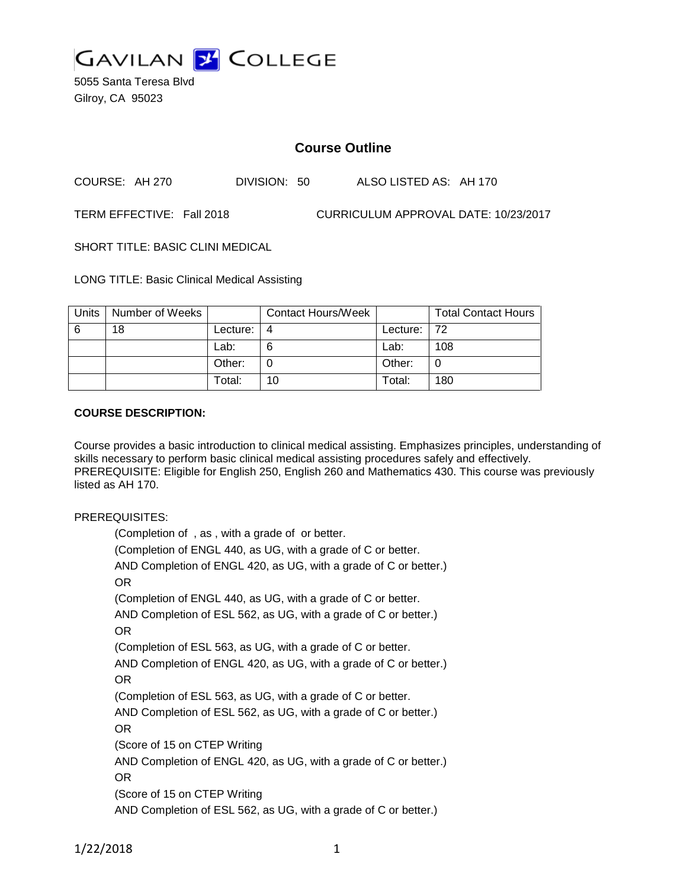

5055 Santa Teresa Blvd Gilroy, CA 95023

# **Course Outline**

COURSE: AH 270 DIVISION: 50 ALSO LISTED AS: AH 170

TERM EFFECTIVE: Fall 2018 CURRICULUM APPROVAL DATE: 10/23/2017

SHORT TITLE: BASIC CLINI MEDICAL

LONG TITLE: Basic Clinical Medical Assisting

| Units | Number of Weeks |          | <b>Contact Hours/Week</b> |             | <b>Total Contact Hours</b> |
|-------|-----------------|----------|---------------------------|-------------|----------------------------|
| 6     | 18              | Lecture: |                           | Lecture: 72 |                            |
|       |                 | Lab:     |                           | Lab:        | 108                        |
|       |                 | Other:   |                           | Other:      |                            |
|       |                 | Total:   | 10                        | Total:      | 180                        |

#### **COURSE DESCRIPTION:**

Course provides a basic introduction to clinical medical assisting. Emphasizes principles, understanding of skills necessary to perform basic clinical medical assisting procedures safely and effectively. PREREQUISITE: Eligible for English 250, English 260 and Mathematics 430. This course was previously listed as AH 170.

#### PREREQUISITES:

(Completion of , as , with a grade of or better. (Completion of ENGL 440, as UG, with a grade of C or better. AND Completion of ENGL 420, as UG, with a grade of C or better.) OR (Completion of ENGL 440, as UG, with a grade of C or better. AND Completion of ESL 562, as UG, with a grade of C or better.) OR (Completion of ESL 563, as UG, with a grade of C or better. AND Completion of ENGL 420, as UG, with a grade of C or better.) OR (Completion of ESL 563, as UG, with a grade of C or better. AND Completion of ESL 562, as UG, with a grade of C or better.) OR (Score of 15 on CTEP Writing AND Completion of ENGL 420, as UG, with a grade of C or better.) OR (Score of 15 on CTEP Writing AND Completion of ESL 562, as UG, with a grade of C or better.)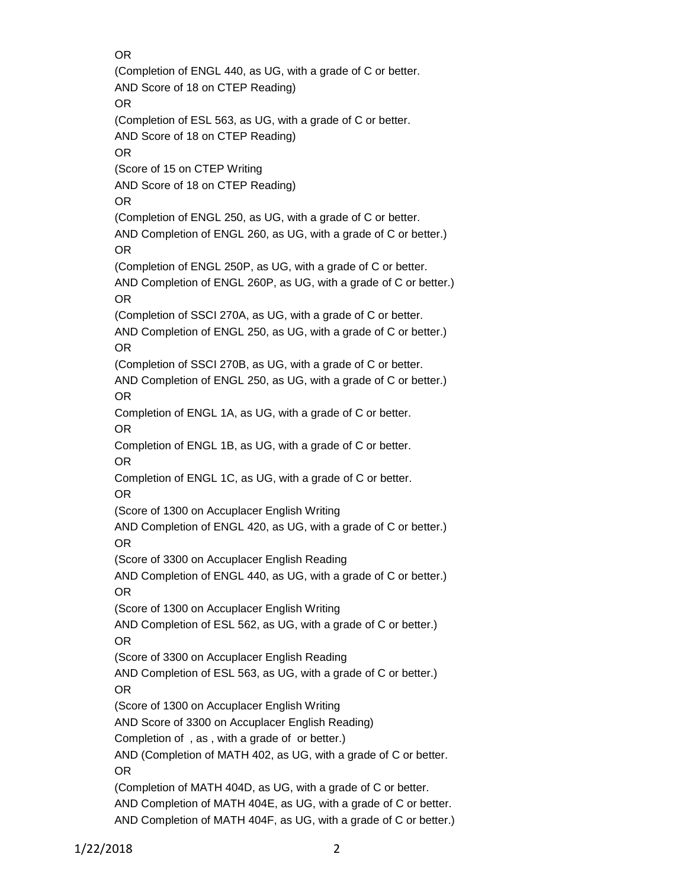OR

(Completion of ENGL 440, as UG, with a grade of C or better. AND Score of 18 on CTEP Reading) OR (Completion of ESL 563, as UG, with a grade of C or better. AND Score of 18 on CTEP Reading) OR (Score of 15 on CTEP Writing AND Score of 18 on CTEP Reading) OR (Completion of ENGL 250, as UG, with a grade of C or better. AND Completion of ENGL 260, as UG, with a grade of C or better.) OR (Completion of ENGL 250P, as UG, with a grade of C or better. AND Completion of ENGL 260P, as UG, with a grade of C or better.) OR (Completion of SSCI 270A, as UG, with a grade of C or better. AND Completion of ENGL 250, as UG, with a grade of C or better.) OR (Completion of SSCI 270B, as UG, with a grade of C or better. AND Completion of ENGL 250, as UG, with a grade of C or better.) OR Completion of ENGL 1A, as UG, with a grade of C or better. OR Completion of ENGL 1B, as UG, with a grade of C or better. OR Completion of ENGL 1C, as UG, with a grade of C or better. OR (Score of 1300 on Accuplacer English Writing AND Completion of ENGL 420, as UG, with a grade of C or better.) OR (Score of 3300 on Accuplacer English Reading AND Completion of ENGL 440, as UG, with a grade of C or better.) OR (Score of 1300 on Accuplacer English Writing AND Completion of ESL 562, as UG, with a grade of C or better.) OR (Score of 3300 on Accuplacer English Reading AND Completion of ESL 563, as UG, with a grade of C or better.) OR (Score of 1300 on Accuplacer English Writing AND Score of 3300 on Accuplacer English Reading) Completion of , as , with a grade of or better.) AND (Completion of MATH 402, as UG, with a grade of C or better. OR (Completion of MATH 404D, as UG, with a grade of C or better. AND Completion of MATH 404E, as UG, with a grade of C or better. AND Completion of MATH 404F, as UG, with a grade of C or better.)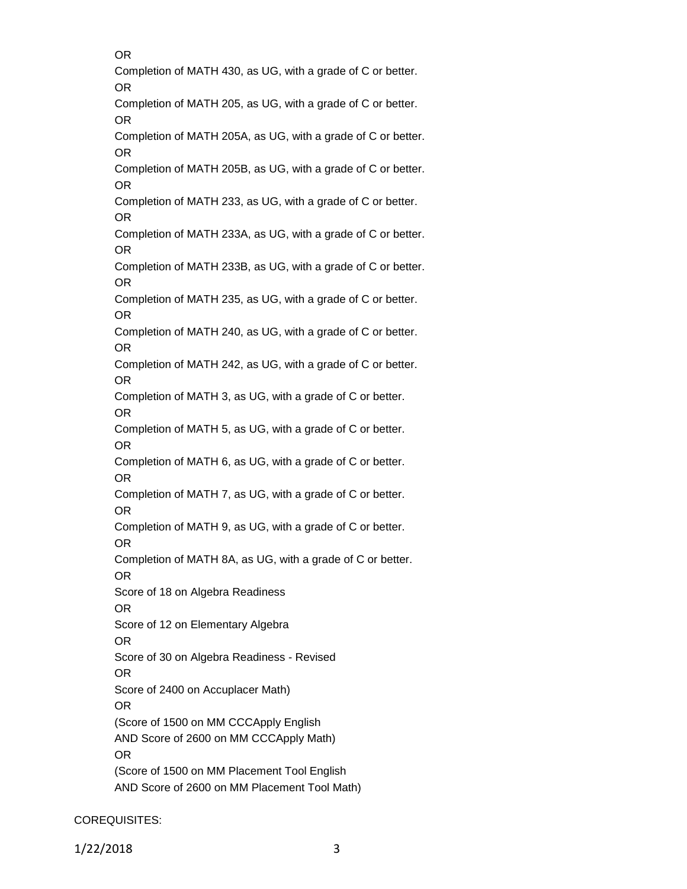OR

Completion of MATH 430, as UG, with a grade of C or better. OR Completion of MATH 205, as UG, with a grade of C or better.

OR

Completion of MATH 205A, as UG, with a grade of C or better. OR

Completion of MATH 205B, as UG, with a grade of C or better. OR

Completion of MATH 233, as UG, with a grade of C or better. OR

Completion of MATH 233A, as UG, with a grade of C or better. OR

Completion of MATH 233B, as UG, with a grade of C or better. OR

Completion of MATH 235, as UG, with a grade of C or better. OR

Completion of MATH 240, as UG, with a grade of C or better. OR

Completion of MATH 242, as UG, with a grade of C or better. OR

Completion of MATH 3, as UG, with a grade of C or better. OR

Completion of MATH 5, as UG, with a grade of C or better. OR

Completion of MATH 6, as UG, with a grade of C or better. OR

Completion of MATH 7, as UG, with a grade of C or better. OR

Completion of MATH 9, as UG, with a grade of C or better. OR

Completion of MATH 8A, as UG, with a grade of C or better.

OR

Score of 18 on Algebra Readiness

OR

Score of 12 on Elementary Algebra

OR

Score of 30 on Algebra Readiness - Revised

OR

Score of 2400 on Accuplacer Math)

OR (Score of 1500 on MM CCCApply English

AND Score of 2600 on MM CCCApply Math) OR

(Score of 1500 on MM Placement Tool English AND Score of 2600 on MM Placement Tool Math)

# COREQUISITES: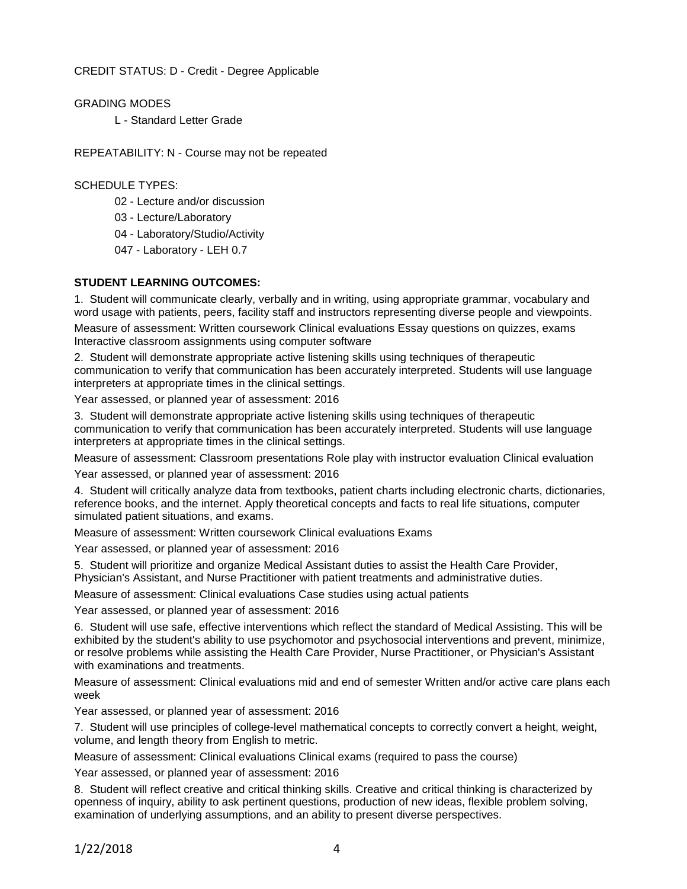CREDIT STATUS: D - Credit - Degree Applicable

GRADING MODES L - Standard Letter Grade

REPEATABILITY: N - Course may not be repeated

SCHEDULE TYPES:

- 02 Lecture and/or discussion
- 03 Lecture/Laboratory
- 04 Laboratory/Studio/Activity
- 047 Laboratory LEH 0.7

### **STUDENT LEARNING OUTCOMES:**

1. Student will communicate clearly, verbally and in writing, using appropriate grammar, vocabulary and word usage with patients, peers, facility staff and instructors representing diverse people and viewpoints.

Measure of assessment: Written coursework Clinical evaluations Essay questions on quizzes, exams Interactive classroom assignments using computer software

2. Student will demonstrate appropriate active listening skills using techniques of therapeutic communication to verify that communication has been accurately interpreted. Students will use language interpreters at appropriate times in the clinical settings.

Year assessed, or planned year of assessment: 2016

3. Student will demonstrate appropriate active listening skills using techniques of therapeutic communication to verify that communication has been accurately interpreted. Students will use language interpreters at appropriate times in the clinical settings.

Measure of assessment: Classroom presentations Role play with instructor evaluation Clinical evaluation

Year assessed, or planned year of assessment: 2016

4. Student will critically analyze data from textbooks, patient charts including electronic charts, dictionaries, reference books, and the internet. Apply theoretical concepts and facts to real life situations, computer simulated patient situations, and exams.

Measure of assessment: Written coursework Clinical evaluations Exams

Year assessed, or planned year of assessment: 2016

5. Student will prioritize and organize Medical Assistant duties to assist the Health Care Provider,

Physician's Assistant, and Nurse Practitioner with patient treatments and administrative duties.

Measure of assessment: Clinical evaluations Case studies using actual patients

Year assessed, or planned year of assessment: 2016

6. Student will use safe, effective interventions which reflect the standard of Medical Assisting. This will be exhibited by the student's ability to use psychomotor and psychosocial interventions and prevent, minimize, or resolve problems while assisting the Health Care Provider, Nurse Practitioner, or Physician's Assistant with examinations and treatments.

Measure of assessment: Clinical evaluations mid and end of semester Written and/or active care plans each week

Year assessed, or planned year of assessment: 2016

7. Student will use principles of college-level mathematical concepts to correctly convert a height, weight, volume, and length theory from English to metric.

Measure of assessment: Clinical evaluations Clinical exams (required to pass the course)

Year assessed, or planned year of assessment: 2016

8. Student will reflect creative and critical thinking skills. Creative and critical thinking is characterized by openness of inquiry, ability to ask pertinent questions, production of new ideas, flexible problem solving, examination of underlying assumptions, and an ability to present diverse perspectives.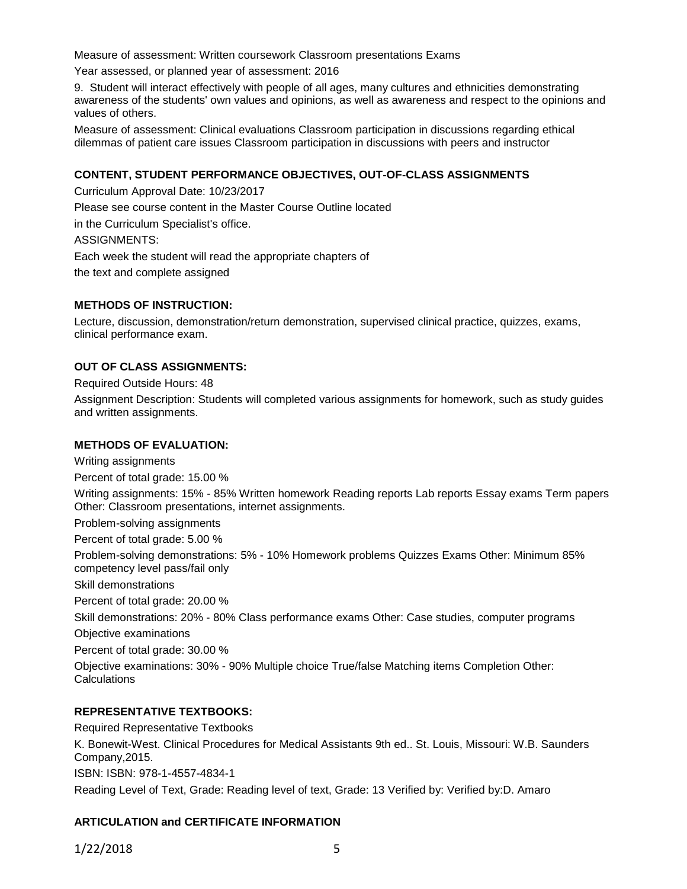Measure of assessment: Written coursework Classroom presentations Exams

Year assessed, or planned year of assessment: 2016

9. Student will interact effectively with people of all ages, many cultures and ethnicities demonstrating awareness of the students' own values and opinions, as well as awareness and respect to the opinions and values of others.

Measure of assessment: Clinical evaluations Classroom participation in discussions regarding ethical dilemmas of patient care issues Classroom participation in discussions with peers and instructor

## **CONTENT, STUDENT PERFORMANCE OBJECTIVES, OUT-OF-CLASS ASSIGNMENTS**

Curriculum Approval Date: 10/23/2017 Please see course content in the Master Course Outline located in the Curriculum Specialist's office. ASSIGNMENTS: Each week the student will read the appropriate chapters of the text and complete assigned

#### **METHODS OF INSTRUCTION:**

Lecture, discussion, demonstration/return demonstration, supervised clinical practice, quizzes, exams, clinical performance exam.

#### **OUT OF CLASS ASSIGNMENTS:**

Required Outside Hours: 48

Assignment Description: Students will completed various assignments for homework, such as study guides and written assignments.

#### **METHODS OF EVALUATION:**

Writing assignments

Percent of total grade: 15.00 %

Writing assignments: 15% - 85% Written homework Reading reports Lab reports Essay exams Term papers Other: Classroom presentations, internet assignments.

Problem-solving assignments

Percent of total grade: 5.00 %

Problem-solving demonstrations: 5% - 10% Homework problems Quizzes Exams Other: Minimum 85% competency level pass/fail only

Skill demonstrations

Percent of total grade: 20.00 %

Skill demonstrations: 20% - 80% Class performance exams Other: Case studies, computer programs Objective examinations

Percent of total grade: 30.00 %

Objective examinations: 30% - 90% Multiple choice True/false Matching items Completion Other: **Calculations** 

#### **REPRESENTATIVE TEXTBOOKS:**

Required Representative Textbooks

K. Bonewit-West. Clinical Procedures for Medical Assistants 9th ed.. St. Louis, Missouri: W.B. Saunders Company,2015. ISBN: ISBN: 978-1-4557-4834-1

Reading Level of Text, Grade: Reading level of text, Grade: 13 Verified by: Verified by:D. Amaro

#### **ARTICULATION and CERTIFICATE INFORMATION**